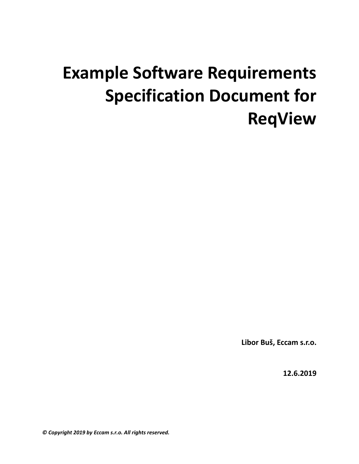# **Example Software Requirements Specification Document for ReqView**

**Libor Buš, Eccam s.r.o.**

**12.6.2019**

*© Copyright 2019 by Eccam s.r.o. All rights reserved.*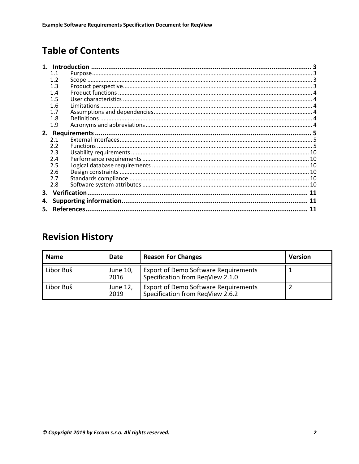## **Table of Contents**

|    | 1. Introduction |  |  |  |  |  |  |
|----|-----------------|--|--|--|--|--|--|
|    | 1.1             |  |  |  |  |  |  |
|    | 1.2             |  |  |  |  |  |  |
|    | 1.3             |  |  |  |  |  |  |
|    | 1.4             |  |  |  |  |  |  |
|    | 1.5             |  |  |  |  |  |  |
|    |                 |  |  |  |  |  |  |
|    | 1.7             |  |  |  |  |  |  |
|    | 1.8             |  |  |  |  |  |  |
|    | 1.9             |  |  |  |  |  |  |
|    |                 |  |  |  |  |  |  |
|    | 2.1             |  |  |  |  |  |  |
|    | 2.2             |  |  |  |  |  |  |
|    | 2.3             |  |  |  |  |  |  |
|    | 2.4             |  |  |  |  |  |  |
|    | 2.5             |  |  |  |  |  |  |
|    | 2.6             |  |  |  |  |  |  |
|    | 2.7             |  |  |  |  |  |  |
|    | 2.8             |  |  |  |  |  |  |
| 3. |                 |  |  |  |  |  |  |
| 4. |                 |  |  |  |  |  |  |
|    |                 |  |  |  |  |  |  |
|    |                 |  |  |  |  |  |  |

## **Revision History**

| <b>Name</b> | Date             | <b>Reason For Changes</b>                                                       | <b>Version</b> |
|-------------|------------------|---------------------------------------------------------------------------------|----------------|
| Libor Buš   | June 10,<br>2016 | <b>Export of Demo Software Requirements</b><br>Specification from RegView 2.1.0 |                |
| Libor Buš   | June 12,<br>2019 | <b>Export of Demo Software Requirements</b><br>Specification from RegView 2.6.2 |                |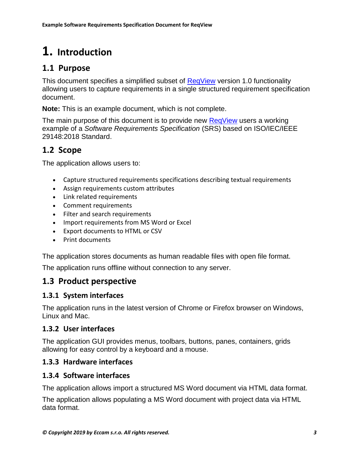## **1. Introduction**

#### **1.1 Purpose**

This document specifies a simplified subset of [ReqView](https://www.reqview.com/) version 1.0 functionality allowing users to capture requirements in a single structured requirement specification document.

**Note:** This is an example document, which is not complete.

The main purpose of this document is to provide new [ReqView](https://www.reqview.com/) users a working example of a *Software Requirements Specification* (SRS) based on ISO/IEC/IEEE 29148:2018 Standard.

#### **1.2 Scope**

The application allows users to:

- Capture structured requirements specifications describing textual requirements
- Assign requirements custom attributes
- Link related requirements
- Comment requirements
- Filter and search requirements
- Import requirements from MS Word or Excel
- Export documents to HTML or CSV
- Print documents

The application stores documents as human readable files with open file format.

The application runs offline without connection to any server.

#### **1.3 Product perspective**

#### **1.3.1 System interfaces**

The application runs in the latest version of Chrome or Firefox browser on Windows, Linux and Mac.

#### **1.3.2 User interfaces**

The application GUI provides menus, toolbars, buttons, panes, containers, grids allowing for easy control by a keyboard and a mouse.

#### **1.3.3 Hardware interfaces**

#### **1.3.4 Software interfaces**

The application allows import a structured MS Word document via HTML data format.

The application allows populating a MS Word document with project data via HTML data format.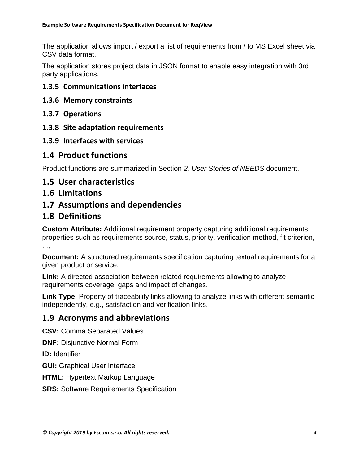The application allows import / export a list of requirements from / to MS Excel sheet via CSV data format.

The application stores project data in JSON format to enable easy integration with 3rd party applications.

#### **1.3.5 Communications interfaces**

- **1.3.6 Memory constraints**
- **1.3.7 Operations**
- **1.3.8 Site adaptation requirements**
- **1.3.9 Interfaces with services**

#### **1.4 Product functions**

Product functions are summarized in Section *2. User Stories of NEEDS* document.

#### **1.5 User characteristics**

#### **1.6 Limitations**

#### **1.7 Assumptions and dependencies**

#### **1.8 Definitions**

**Custom Attribute:** Additional requirement property capturing additional requirements properties such as requirements source, status, priority, verification method, fit criterion, ...,

**Document:** A structured requirements specification capturing textual requirements for a given product or service.

**Link:** A directed association between related requirements allowing to analyze requirements coverage, gaps and impact of changes.

**Link Type**: Property of traceability links allowing to analyze links with different semantic independently, e.g., satisfaction and verification links.

#### **1.9 Acronyms and abbreviations**

**CSV:** Comma Separated Values

**DNF:** Disjunctive Normal Form

**ID:** Identifier

**GUI:** Graphical User Interface

**HTML:** Hypertext Markup Language

**SRS:** Software Requirements Specification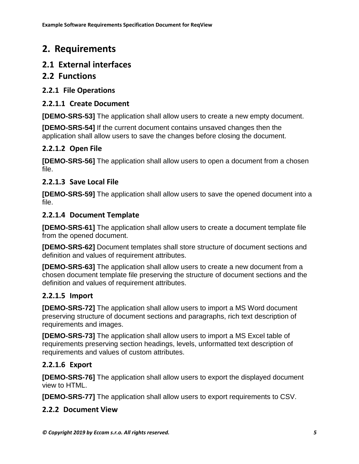## **2. Requirements**

#### **2.1 External interfaces**

#### **2.2 Functions**

#### **2.2.1 File Operations**

#### **2.2.1.1 Create Document**

**[DEMO-SRS-53]** The application shall allow users to create a new empty document.

**[DEMO-SRS-54]** If the current document contains unsaved changes then the application shall allow users to save the changes before closing the document.

#### **2.2.1.2 Open File**

**[DEMO-SRS-56]** The application shall allow users to open a document from a chosen file.

#### **2.2.1.3 Save Local File**

**[DEMO-SRS-59]** The application shall allow users to save the opened document into a file.

#### **2.2.1.4 Document Template**

**[DEMO-SRS-61]** The application shall allow users to create a document template file from the opened document.

**[DEMO-SRS-62]** Document templates shall store structure of document sections and definition and values of requirement attributes.

**[DEMO-SRS-63]** The application shall allow users to create a new document from a chosen document template file preserving the structure of document sections and the definition and values of requirement attributes.

#### **2.2.1.5 Import**

**[DEMO-SRS-72]** The application shall allow users to import a MS Word document preserving structure of document sections and paragraphs, rich text description of requirements and images.

**[DEMO-SRS-73]** The application shall allow users to import a MS Excel table of requirements preserving section headings, levels, unformatted text description of requirements and values of custom attributes.

#### **2.2.1.6 Export**

**[DEMO-SRS-76]** The application shall allow users to export the displayed document view to HTML.

**[DEMO-SRS-77]** The application shall allow users to export requirements to CSV.

#### **2.2.2 Document View**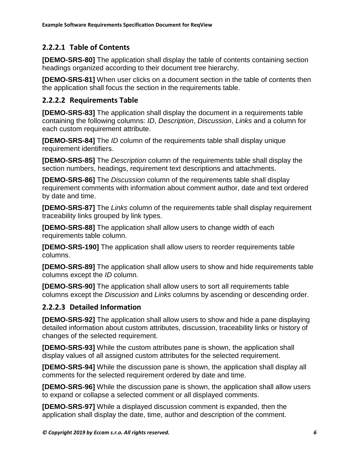#### **2.2.2.1 Table of Contents**

**[DEMO-SRS-80]** The application shall display the table of contents containing section headings organized according to their document tree hierarchy.

**[DEMO-SRS-81]** When user clicks on a document section in the table of contents then the application shall focus the section in the requirements table.

#### **2.2.2.2 Requirements Table**

**[DEMO-SRS-83]** The application shall display the document in a requirements table containing the following columns: *ID*, *Description*, *Discussion*, *Links* and a column for each custom requirement attribute.

**[DEMO-SRS-84]** The *ID* column of the requirements table shall display unique requirement identifiers.

**[DEMO-SRS-85]** The *Description* column of the requirements table shall display the section numbers, headings, requirement text descriptions and attachments.

**[DEMO-SRS-86]** The *Discussion* column of the requirements table shall display requirement comments with information about comment author, date and text ordered by date and time.

**[DEMO-SRS-87]** The *Links* column of the requirements table shall display requirement traceability links grouped by link types.

**[DEMO-SRS-88]** The application shall allow users to change width of each requirements table column.

**[DEMO-SRS-190]** The application shall allow users to reorder requirements table columns.

**[DEMO-SRS-89]** The application shall allow users to show and hide requirements table columns except the *ID* column.

**[DEMO-SRS-90]** The application shall allow users to sort all requirements table columns except the *Discussion* and *Links* columns by ascending or descending order.

#### **2.2.2.3 Detailed Information**

**[DEMO-SRS-92]** The application shall allow users to show and hide a pane displaying detailed information about custom attributes, discussion, traceability links or history of changes of the selected requirement.

**[DEMO-SRS-93]** While the custom attributes pane is shown, the application shall display values of all assigned custom attributes for the selected requirement.

**[DEMO-SRS-94]** While the discussion pane is shown, the application shall display all comments for the selected requirement ordered by date and time.

**[DEMO-SRS-96]** While the discussion pane is shown, the application shall allow users to expand or collapse a selected comment or all displayed comments.

**[DEMO-SRS-97]** While a displayed discussion comment is expanded, then the application shall display the date, time, author and description of the comment.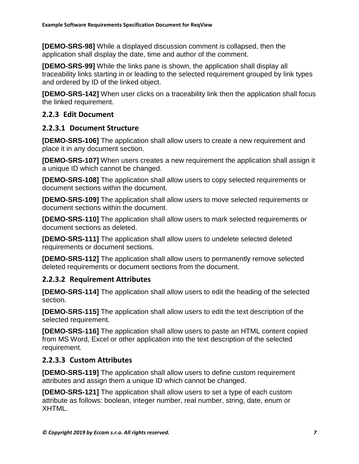**[DEMO-SRS-98]** While a displayed discussion comment is collapsed, then the application shall display the date, time and author of the comment.

**[DEMO-SRS-99]** While the links pane is shown, the application shall display all traceability links starting in or leading to the selected requirement grouped by link types and ordered by ID of the linked object.

**[DEMO-SRS-142]** When user clicks on a traceability link then the application shall focus the linked requirement.

#### **2.2.3 Edit Document**

#### **2.2.3.1 Document Structure**

**[DEMO-SRS-106]** The application shall allow users to create a new requirement and place it in any document section.

**[DEMO-SRS-107]** When users creates a new requirement the application shall assign it a unique ID which cannot be changed.

**[DEMO-SRS-108]** The application shall allow users to copy selected requirements or document sections within the document.

**[DEMO-SRS-109]** The application shall allow users to move selected requirements or document sections within the document.

**[DEMO-SRS-110]** The application shall allow users to mark selected requirements or document sections as deleted.

**[DEMO-SRS-111]** The application shall allow users to undelete selected deleted requirements or document sections.

**[DEMO-SRS-112]** The application shall allow users to permanently remove selected deleted requirements or document sections from the document.

#### **2.2.3.2 Requirement Attributes**

**[DEMO-SRS-114]** The application shall allow users to edit the heading of the selected section.

**[DEMO-SRS-115]** The application shall allow users to edit the text description of the selected requirement.

**[DEMO-SRS-116]** The application shall allow users to paste an HTML content copied from MS Word, Excel or other application into the text description of the selected requirement.

#### **2.2.3.3 Custom Attributes**

**[DEMO-SRS-119]** The application shall allow users to define custom requirement attributes and assign them a unique ID which cannot be changed.

**[DEMO-SRS-121]** The application shall allow users to set a type of each custom attribute as follows: boolean, integer number, real number, string, date, enum or XHTML.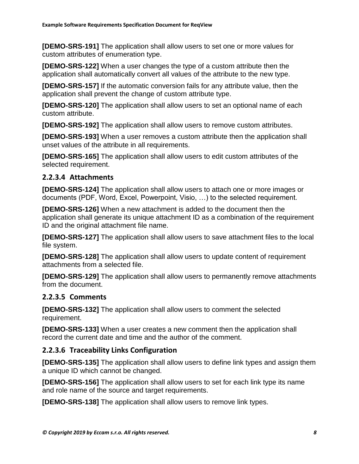**[DEMO-SRS-191]** The application shall allow users to set one or more values for custom attributes of enumeration type.

**[DEMO-SRS-122]** When a user changes the type of a custom attribute then the application shall automatically convert all values of the attribute to the new type.

**[DEMO-SRS-157]** If the automatic conversion fails for any attribute value, then the application shall prevent the change of custom attribute type.

**[DEMO-SRS-120]** The application shall allow users to set an optional name of each custom attribute.

**[DEMO-SRS-192]** The application shall allow users to remove custom attributes.

**[DEMO-SRS-193]** When a user removes a custom attribute then the application shall unset values of the attribute in all requirements.

**[DEMO-SRS-165]** The application shall allow users to edit custom attributes of the selected requirement.

#### **2.2.3.4 Attachments**

**[DEMO-SRS-124]** The application shall allow users to attach one or more images or documents (PDF, Word, Excel, Powerpoint, Visio, …) to the selected requirement.

**[DEMO-SRS-126]** When a new attachment is added to the document then the application shall generate its unique attachment ID as a combination of the requirement ID and the original attachment file name.

**[DEMO-SRS-127]** The application shall allow users to save attachment files to the local file system.

**[DEMO-SRS-128]** The application shall allow users to update content of requirement attachments from a selected file.

**[DEMO-SRS-129]** The application shall allow users to permanently remove attachments from the document.

#### **2.2.3.5 Comments**

**[DEMO-SRS-132]** The application shall allow users to comment the selected requirement.

**[DEMO-SRS-133]** When a user creates a new comment then the application shall record the current date and time and the author of the comment.

#### **2.2.3.6 Traceability Links Configuration**

**[DEMO-SRS-135]** The application shall allow users to define link types and assign them a unique ID which cannot be changed.

**[DEMO-SRS-156]** The application shall allow users to set for each link type its name and role name of the source and target requirements.

**[DEMO-SRS-138]** The application shall allow users to remove link types.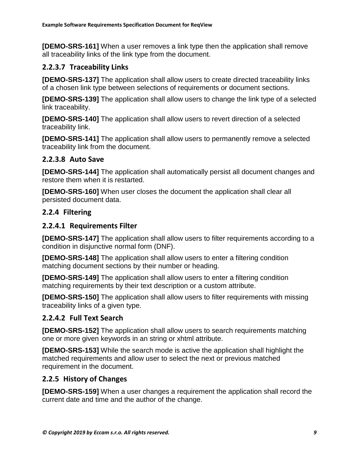**[DEMO-SRS-161]** When a user removes a link type then the application shall remove all traceability links of the link type from the document.

#### **2.2.3.7 Traceability Links**

**[DEMO-SRS-137]** The application shall allow users to create directed traceability links of a chosen link type between selections of requirements or document sections.

**[DEMO-SRS-139]** The application shall allow users to change the link type of a selected link traceability.

**[DEMO-SRS-140]** The application shall allow users to revert direction of a selected traceability link.

**[DEMO-SRS-141]** The application shall allow users to permanently remove a selected traceability link from the document.

#### **2.2.3.8 Auto Save**

**[DEMO-SRS-144]** The application shall automatically persist all document changes and restore them when it is restarted.

**[DEMO-SRS-160]** When user closes the document the application shall clear all persisted document data.

#### **2.2.4 Filtering**

#### **2.2.4.1 Requirements Filter**

**[DEMO-SRS-147]** The application shall allow users to filter requirements according to a condition in disjunctive normal form (DNF).

**[DEMO-SRS-148]** The application shall allow users to enter a filtering condition matching document sections by their number or heading.

**[DEMO-SRS-149]** The application shall allow users to enter a filtering condition matching requirements by their text description or a custom attribute.

**[DEMO-SRS-150]** The application shall allow users to filter requirements with missing traceability links of a given type.

#### **2.2.4.2 Full Text Search**

**[DEMO-SRS-152]** The application shall allow users to search requirements matching one or more given keywords in an string or xhtml attribute.

**[DEMO-SRS-153]** While the search mode is active the application shall highlight the matched requirements and allow user to select the next or previous matched requirement in the document.

#### **2.2.5 History of Changes**

**[DEMO-SRS-159]** When a user changes a requirement the application shall record the current date and time and the author of the change.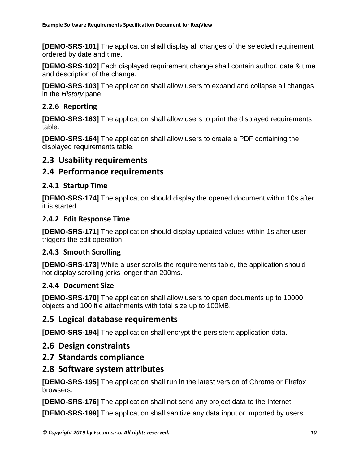**[DEMO-SRS-101]** The application shall display all changes of the selected requirement ordered by date and time.

**[DEMO-SRS-102]** Each displayed requirement change shall contain author, date & time and description of the change.

**[DEMO-SRS-103]** The application shall allow users to expand and collapse all changes in the *History* pane.

#### **2.2.6 Reporting**

**[DEMO-SRS-163]** The application shall allow users to print the displayed requirements table.

**[DEMO-SRS-164]** The application shall allow users to create a PDF containing the displayed requirements table.

#### **2.3 Usability requirements**

#### **2.4 Performance requirements**

#### **2.4.1 Startup Time**

**[DEMO-SRS-174]** The application should display the opened document within 10s after it is started.

#### **2.4.2 Edit Response Time**

**[DEMO-SRS-171]** The application should display updated values within 1s after user triggers the edit operation.

#### **2.4.3 Smooth Scrolling**

**[DEMO-SRS-173]** While a user scrolls the requirements table, the application should not display scrolling jerks longer than 200ms.

#### **2.4.4 Document Size**

**[DEMO-SRS-170]** The application shall allow users to open documents up to 10000 objects and 100 file attachments with total size up to 100MB.

#### **2.5 Logical database requirements**

**[DEMO-SRS-194]** The application shall encrypt the persistent application data.

#### **2.6 Design constraints**

#### **2.7 Standards compliance**

#### **2.8 Software system attributes**

**[DEMO-SRS-195]** The application shall run in the latest version of Chrome or Firefox browsers.

**[DEMO-SRS-176]** The application shall not send any project data to the Internet.

**[DEMO-SRS-199]** The application shall sanitize any data input or imported by users.